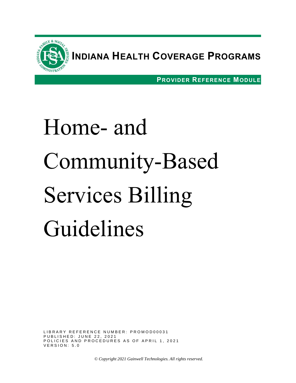

**INDIANA HEALTH COVERAGE PROGRAMS**

**PROVIDER REFERENCE MODULE**

# Home- and Community-Based Services Billing Guidelines

LIBRARY REFERENCE NUMBER: PROMOD00031 P U B L I S H E D : J U N E 22, 2021 POLICIES AND PROCEDURES AS OF APRIL 1, 2021  $V$  E R S I O N :  $5.0$ 

*© Copyright 2021 Gainwell Technologies. All rights reserved.*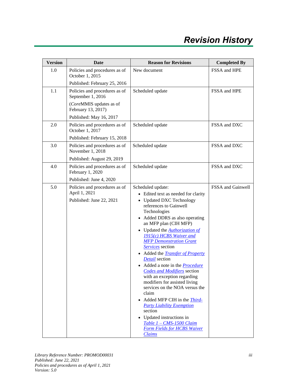| <b>Version</b> | Date                                                                             | <b>Reason for Revisions</b>                                                                                                                                                                                                                                                                                                                                                                                                                                                                                                                                                                                                                                                                                                                                                                              | <b>Completed By</b> |
|----------------|----------------------------------------------------------------------------------|----------------------------------------------------------------------------------------------------------------------------------------------------------------------------------------------------------------------------------------------------------------------------------------------------------------------------------------------------------------------------------------------------------------------------------------------------------------------------------------------------------------------------------------------------------------------------------------------------------------------------------------------------------------------------------------------------------------------------------------------------------------------------------------------------------|---------------------|
| 1.0            | Policies and procedures as of<br>October 1, 2015<br>Published: February 25, 2016 | New document                                                                                                                                                                                                                                                                                                                                                                                                                                                                                                                                                                                                                                                                                                                                                                                             | FSSA and HPE        |
| 1.1            | Policies and procedures as of<br>September 1, 2016                               | Scheduled update                                                                                                                                                                                                                                                                                                                                                                                                                                                                                                                                                                                                                                                                                                                                                                                         | FSSA and HPE        |
|                | (CoreMMIS updates as of<br>February 13, 2017)                                    |                                                                                                                                                                                                                                                                                                                                                                                                                                                                                                                                                                                                                                                                                                                                                                                                          |                     |
|                | Published: May 16, 2017                                                          |                                                                                                                                                                                                                                                                                                                                                                                                                                                                                                                                                                                                                                                                                                                                                                                                          |                     |
| 2.0            | Policies and procedures as of<br>October 1, 2017                                 | Scheduled update                                                                                                                                                                                                                                                                                                                                                                                                                                                                                                                                                                                                                                                                                                                                                                                         | FSSA and DXC        |
|                | Published: February 15, 2018                                                     |                                                                                                                                                                                                                                                                                                                                                                                                                                                                                                                                                                                                                                                                                                                                                                                                          |                     |
| 3.0            | Policies and procedures as of<br>November 1, 2018                                | Scheduled update                                                                                                                                                                                                                                                                                                                                                                                                                                                                                                                                                                                                                                                                                                                                                                                         | FSSA and DXC        |
|                | Published: August 29, 2019                                                       |                                                                                                                                                                                                                                                                                                                                                                                                                                                                                                                                                                                                                                                                                                                                                                                                          |                     |
| 4.0            | Policies and procedures as of<br>February 1, 2020                                | Scheduled update                                                                                                                                                                                                                                                                                                                                                                                                                                                                                                                                                                                                                                                                                                                                                                                         | FSSA and DXC        |
|                | Published: June 4, 2020                                                          |                                                                                                                                                                                                                                                                                                                                                                                                                                                                                                                                                                                                                                                                                                                                                                                                          |                     |
| 5.0            | Policies and procedures as of<br>April 1, 2021<br>Published: June 22, 2021       | Scheduled update:<br>• Edited text as needed for clarity<br>• Updated DXC Technology<br>references to Gainwell<br>Technologies<br>Added DDRS as also operating<br>$\bullet$<br>an MFP plan (CIH MFP)<br>• Updated the <b>Authorization of</b><br>1915(c) HCBS Waiver and<br><b>MFP Demonstration Grant</b><br>Services section<br>• Added the <i>Transfer of Property</i><br>Detail section<br>• Added a note in the <i>Procedure</i><br><b>Codes and Modifiers</b> section<br>with an exception regarding<br>modifiers for assisted living<br>services on the NOA versus the<br>claim<br>Added MFP CIH in the <i>Third-</i><br>$\bullet$<br><b>Party Liability Exemption</b><br>section<br>• Updated instructions in<br>Table 1 - CMS-1500 Claim<br><b>Form Fields for HCBS Waiver</b><br><b>Claims</b> | FSSA and Gainwell   |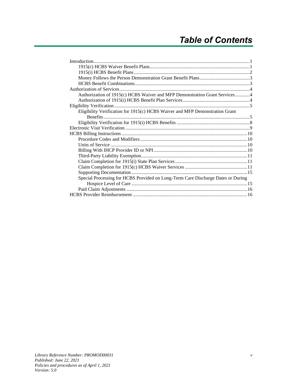| Authorization of 1915(c) HCBS Waiver and MFP Demonstration Grant Services4       |  |
|----------------------------------------------------------------------------------|--|
|                                                                                  |  |
|                                                                                  |  |
| Eligibility Verification for 1915(c) HCBS Waiver and MFP Demonstration Grant     |  |
|                                                                                  |  |
|                                                                                  |  |
|                                                                                  |  |
|                                                                                  |  |
|                                                                                  |  |
|                                                                                  |  |
|                                                                                  |  |
|                                                                                  |  |
|                                                                                  |  |
|                                                                                  |  |
|                                                                                  |  |
| Special Processing for HCBS Provided on Long-Term Care Discharge Dates or During |  |
|                                                                                  |  |
|                                                                                  |  |
|                                                                                  |  |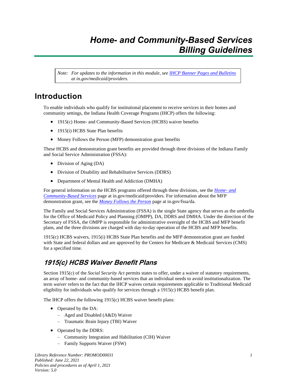## *Home- and Community-Based Services Billing Guidelines*

*Note: For updates to the information in this module, see IHCP [Banner Pages and Bulletins](https://www.in.gov/medicaid/providers/737.htm) at in.gov/medicaid/providers.*

## <span id="page-6-0"></span>**Introduction**

To enable individuals who qualify for institutional placement to receive services in their homes and community settings, the Indiana Health Coverage Programs (IHCP) offers the following:

- 1915(c) Home- and Community-Based Services (HCBS) waiver benefits
- 1915(i) HCBS State Plan benefits
- Money Follows the Person (MFP) demonstration grant benefits

These HCBS and demonstration grant benefits are provided through three divisions of the Indiana Family and Social Service Administration (FSSA):

- Division of Aging (DA)
- Division of Disability and Rehabilitative Services (DDRS)
- Department of Mental Health and Addiction (DMHA)

For general information on the HCBS programs offered through these divisions, see the *[Home-](https://www.in.gov/medicaid/providers/856.htm) and [Community-Based Services](https://www.in.gov/medicaid/providers/856.htm)* page at in.gov/medicaid/providers. For information about the MFP demonstration grant, see the *[Money Follows the Person](https://www.in.gov/fssa/da/3475.htm)* page at in.gov/fssa/da.

The Family and Social Services Administration (FSSA) is the single State agency that serves as the umbrella for the Office of Medicaid Policy and Planning (OMPP), DA, DDRS and DMHA. Under the direction of the Secretary of FSSA, the OMPP is responsible for administrative oversight of the HCBS and MFP benefit plans, and the three divisions are charged with day-to-day operation of the HCBS and MFP benefits.

1915(c) HCBS waivers, 1915(i) HCBS State Plan benefits and the MFP demonstration grant are funded with State and federal dollars and are approved by the Centers for Medicare & Medicaid Services (CMS) for a specified time.

## <span id="page-6-1"></span>**1915(c) HCBS Waiver Benefit Plans**

Section 1915(c) of the *Social Security Act* permits states to offer, under a waiver of statutory requirements, an array of home- and community-based services that an individual needs to avoid institutionalization. The term *waiver* refers to the fact that the IHCP waives certain requirements applicable to Traditional Medicaid eligibility for individuals who qualify for services through a 1915(c) HCBS benefit plan.

The IHCP offers the following 1915(c) HCBS waiver benefit plans:

- Operated by the DA:
	- Aged and Disabled (A&D) Waiver
	- Traumatic Brain Injury (TBI) Waiver
- Operated by the DDRS:
	- Community Integration and Habilitation (CIH) Waiver
	- Family Supports Waiver (FSW)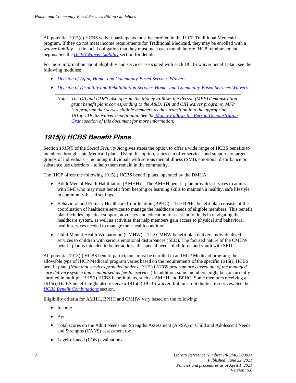All potential 1915(c) HCBS waiver participants must be enrolled in the IHCP Traditional Medicaid program. If they do not meet income requirements for Traditional Medicaid, they may be enrolled with a *waiver liability* – a financial obligation that they must meet each month before IHCP reimbursement begins. See the *[HCBS Waiver Liability](#page-12-1)* section for details.

For more information about eligibility and services associated with each HCBS waiver benefit plan, see the following modules:

- *Division of Aging Home- [and Community-Based Services Waivers](https://www.in.gov/medicaid/files/da%20hcbs%20waivers.pdf)*
- *[Division of Disability and Rehabilitation Services Home-](https://www.in.gov/medicaid/files/ddrs%20hcbs%20waivers.pdf) and Community-Based Services Waivers*

*Note: The DA and DDRS also operate the Money Follows the Person (MFP) demonstration grant benefit plans corresponding to the A&D, TBI and CIH waiver programs. MFP is a program that serves eligible members as they transition into the appropriate 1915(c) HCBS waiver benefit plan. See the [Money Follows the Person Demonstration](#page-8-0)  [Grant](#page-8-0) section of this document for more information.*

## <span id="page-7-0"></span>**1915(i) HCBS Benefit Plans**

Section *1915(i)* of the *Social Security Act* gives states the option to offer a wide range of HCBS benefits to members through state Medicaid plans. Using this option, states can offer services and supports to target groups of individuals – including individuals with serious mental illness (SMI), emotional disturbance or substance use disorders – to help them remain in the community.

The IHCP offers the following 1915(i) HCBS benefit plans, operated by the DMHA:

- Adult Mental Health Habilitation (AMHH) The AMHH benefit plan provides services to adults with SMI who may most benefit from keeping or learning skills to maintain a healthy, safe lifestyle in community-based settings.
- Behavioral and Primary Healthcare Coordination (BPHC) The BPHC benefit plan consists of the coordination of healthcare services to manage the healthcare needs of eligible members. This benefit plan includes logistical support, advocacy and education to assist individuals in navigating the healthcare system, as well as activities that help members gain access to physical and behavioral health services needed to manage their health condition.
- Child Mental Health Wraparound (CMHW) The CMHW benefit plan delivers individualized services to children with serious emotional disturbances (SED). The focused nature of the CMHW benefit plan is intended to better address the special needs of children and youth with SED.

All potential 1915(i) HCBS benefit participants must be enrolled in an IHCP Medicaid program; the allowable *type* of IHCP Medicaid program varies based on the requirements of the specific 1915(i) HCBS benefit plan. (*Note that services provided under a 1915(i) HCBS program are carved out of the managed care delivery system and reimbursed as fee-for-service.*) In addition, some members might be concurrently enrolled in multiple 1915(i) HCBS benefit plans, such as AMHH and BPHC. Some members receiving a 1915(i) HCBS benefit might also receive a 1915(c) HCBS waiver, but must not duplicate services. See the *HCBS Benefit [Combinations](#page-8-1)* section.

Eligibility criteria for AMHH, BPHC and CMHW vary based on the following:

- Income
- Age
- Total scores on the Adult Needs and Strengths Assessment (ANSA) or Child and Adolescent Needs and Strengths (CANS) assessment tool
- Level-of-need (LON) evaluations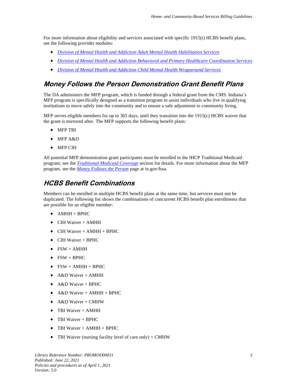For more information about eligibility and services associated with specific 1915(i) HCBS benefit plans, see the following provider modules:

- *[Division of Mental Health and Addiction Adult Mental Health Habilitation Services](https://www.in.gov/medicaid/files/dmha%20amhh.pdf)*
- *[Division of Mental Health and Addiction Behavioral and Primary Healthcare Coordination Services](https://www.in.gov/medicaid/files/dmha%20bphc.pdf)*
- *[Division of Mental Health and Addiction Child Mental Health Wraparound Services](https://www.in.gov/medicaid/files/dmha%20cmhw.pdf)*

#### <span id="page-8-0"></span>**Money Follows the Person Demonstration Grant Benefit Plans**

The DA administers the MFP program, which is funded through a federal grant from the CMS. Indiana's MFP program is specifically designed as a transition program to assist individuals who live in qualifying institutions to move safely into the community and to ensure a safe adjustment to community living.

MFP serves eligible members for up to 365 days, until they transition into the 1915(c) HCBS waiver that the grant is mirrored after. The MFP supports the following benefit plans:

- MFP TBI
- MFP A&D
- MFP CIH

All potential MFP demonstration grant participants must be enrolled in the IHCP Traditional Medicaid program; see the *[Traditional Medicaid Coverage](#page-11-0)* section for details. For more information about the MFP program, see the *[Money Follows the Person](http://www.in.gov/fssa/da/3475.htm)* page at in.gov/fssa.

#### <span id="page-8-1"></span>**HCBS Benefit Combinations**

Members can be enrolled in multiple HCBS benefit plans at the same time, but services must not be duplicated. The following list shows the combinations of concurrent HCBS benefit plan enrollments that are possible for an eligible member:

- AMHH + BPHC
- CIH Waiver + AMHH
- CIH Waiver + AMHH + BPHC
- CIH Waiver + BPHC
- FSW + AMHH
- $\bullet$  FSW + BPHC
- $\bullet$  FSW + AMHH + BPHC
- A&D Waiver + AMHH
- A&D Waiver + BPHC
- A&D Waiver + AMHH + BPHC
- A&D Waiver + CMHW
- TBI Waiver + AMHH
- TBI Waiver + BPHC
- TBI Waiver + AMHH + BPHC
- TBI Waiver (nursing facility level of care only)  $+$  CMHW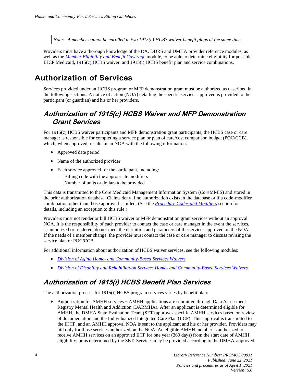*Note: A member cannot be enrolled in two 1915(c) HCBS waiver benefit plans at the same time.*

Providers must have a thorough knowledge of the DA, DDRS and DMHA provider reference modules, as well as the *[Member Eligibility and Benefit Coverag](https://www.in.gov/medicaid/files/member%20eligibility%20and%20benefit%20coverage.pdf)*e module, to be able to determine eligibility for possible IHCP Medicaid, 1915(c) HCBS waiver, and 1915(i) HCBS benefit plan and service combinations.

## <span id="page-9-1"></span>**Authorization of Services**

Services provided under an HCBS program or MFP demonstration grant must be authorized as described in the following sections. A notice of action (NOA) detailing the specific services approved is provided to the participant (or guardian) and his or her providers.

#### <span id="page-9-0"></span>**Authorization of 1915(c) HCBS Waiver and MFP Demonstration Grant Services**

For 1915(c) HCBS waiver participants and MFP demonstration grant participants, the HCBS case or care manager is responsible for completing a service plan or plan of care/cost comparison budget (POC/CCB), which, when approved, results in an NOA with the following information:

- Approved date period
- Name of the authorized provider
- Each service approved for the participant, including:
	- Billing code with the appropriate modifiers
	- Number of units or dollars to be provided

This data is transmitted to the Core Medicaid Management Information System (*Core*MMIS) and stored in the prior authorization database. Claims deny if no authorization exists in the database or if a code-modifier combination other than those approved is billed. (See the *[Procedure Codes and Modifiers](#page-15-0)* section for details, including an exception to this rule.)

Providers must not render or bill HCBS waiver or MFP demonstration grant services without an approval NOA. It is the responsibility of each provider to contact the case or care manager in the event the services, as authorized or rendered, do not meet the definition and parameters of the services approved on the NOA. If the needs of a member change, the provider must contact the case or care manager to discuss revising the service plan or POC/CCB.

For additional information about authorization of HCBS waiver services, see the following modules:

- *Division of Aging Home- [and Community-Based Services Waivers](https://www.in.gov/medicaid/files/da%20hcbs%20waivers.pdf)*
- *[Division of Disability and Rehabilitation Services Home-](https://www.in.gov/medicaid/files/ddrs%20hcbs%20waivers.pdf) and Community-Based Services Waivers*

#### <span id="page-9-2"></span>**Authorization of 1915(i) HCBS Benefit Plan Services**

The authorization process for 1915(i) HCBS program services varies by benefit plan:

• Authorization for AMHH services – AMHH applications are submitted through Data Assessment Registry Mental Health and Addiction (DARMHA). After an applicant is determined eligible for AMHH, the DMHA State Evaluation Team (SET) approves specific AMHH services based on review of documentation and the Individualized Integrated Care Plan (IICP). This approval is transmitted to the IHCP, and an AMHH approval NOA is sent to the applicant and his or her provider. Providers may bill only for those services authorized on the NOA. An eligible AMHH member is authorized to receive AMHH services on an approved IICP for one year (360 days) from the start date of AMHH eligibility, or as determined by the SET. Services may be provided according to the DMHA-approved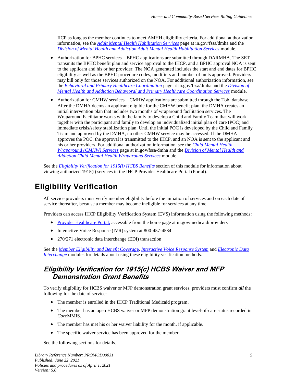IICP as long as the member continues to meet AMHH eligibility criteria. For additional authorization information, see the *[Adult Mental Health Habilitation Services](http://www.in.gov/fssa/dmha/2876.htm)* page at in.gov/fssa/dmha and the *[Division of Mental Health and Addiction Adult Mental Health Habilitation Services](https://www.in.gov/medicaid/files/dmha%20amhh.pdf)* module.

- Authorization for BPHC services BPHC applications are submitted through DARMHA. The SET transmits the BPHC benefit plan and service approval to the IHCP, and a BPHC approval NOA is sent to the applicant and his or her provider. The NOA generated includes the start and end dates for BPHC eligibility as well as the BPHC procedure codes, modifiers and number of units approved. Providers may bill only for those services authorized on the NOA. For additional authorization information, see the *[Behavioral and Primary Healthcare Coordination](http://www.in.gov/fssa/dmha/2883.htm)* page at in.gov/fssa/dmha and the *[Division of](https://www.in.gov/medicaid/files/dmha%20bphc.pdf)  [Mental Health and Addiction Behavioral and Primary Healthcare Coordination Services](https://www.in.gov/medicaid/files/dmha%20bphc.pdf)* module.
- Authorization for CMHW services CMHW applications are submitted through the Tobi database. After the DMHA deems an applicant eligible for the CMHW benefit plan, the DMHA creates an initial intervention plan that includes two months of wraparound facilitation services. The Wraparound Facilitator works with the family to develop a Child and Family Team that will work together with the participant and family to develop an individualized initial plan of care (POC) and immediate crisis/safety stabilization plan. Until the initial POC is developed by the Child and Family Team and approved by the DMHA, no other CMHW service may be accessed. If the DMHA approves the POC, the approval is transmitted to the IHCP, and an NOA is sent to the applicant and his or her providers. For additional authorization information, see the *[Child Mental Health](http://www.in.gov/fssa/dmha/2766.htm)  [Wraparound \(CMHW\) Services](http://www.in.gov/fssa/dmha/2766.htm)* page at in.gov/fssa/dmha and the *[Division of Mental Health and](https://www.in.gov/medicaid/files/dmha%20cmhw.pdf)  [Addiction Child Mental Health Wraparound Services](https://www.in.gov/medicaid/files/dmha%20cmhw.pdf)* module.

See the *[Eligibility Verification for 1915\(i\) HCBS Benefits](#page-13-0)* section of this module for information about viewing authorized 1915(i) services in the IHCP Provider Healthcare Portal (Portal).

## <span id="page-10-0"></span>**Eligibility Verification**

All service providers must verify member eligibility before the initiation of services and on each date of service thereafter, because a member may become ineligible for services at any time.

Providers can access IHCP Eligibility Verification System (EVS) information using the following methods:

- [Provider Healthcare Portal,](https://portal.indianamedicaid.com/) accessible from the home page at in.gov/medicaid/providers
- Interactive Voice Response (IVR) system at 800-457-4584
- 270/271 electronic data interchange (EDI) transaction

See the *[Member Eligibility and Benefit Coverag](https://www.in.gov/medicaid/files/member%20eligibility%20and%20benefit%20coverage.pdf)*e, *[Interactive Voice Response System](https://www.in.gov/medicaid/files/interactive%20voice%20response%20system.pdf)* and *[Electronic](https://www.in.gov/medicaid/files/electronic%20data%20interchange.pdf) Data [Interchange](https://www.in.gov/medicaid/files/electronic%20data%20interchange.pdf)* modules for details about using these eligibility verification methods.

#### <span id="page-10-1"></span>**Eligibility Verification for 1915(c) HCBS Waiver and MFP Demonstration Grant Benefits**

To verify eligibility for HCBS waiver or MFP demonstration grant services, providers must confirm *all* the following for the date of service:

- The member is enrolled in the IHCP Traditional Medicaid program.
- The member has an open HCBS waiver or MFP demonstration grant level-of-care status recorded in *Core*MMIS.
- The member has met his or her waiver liability for the month, if applicable.
- The specific waiver service has been approved for the member.

See the following sections for details.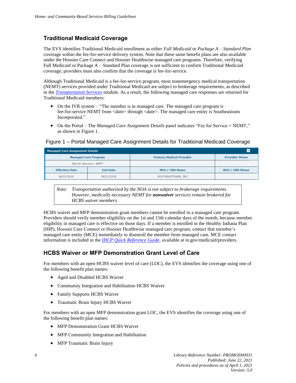#### <span id="page-11-0"></span>**Traditional Medicaid Coverage**

The EVS identifies Traditional Medicaid enrollment as either *Full Medicaid* or *Package A – Standard Plan* coverage within the fee-for-service delivery system. Note that these same benefit plans are also available under the Hoosier Care Connect and Hoosier Healthwise managed care programs. Therefore, verifying Full Medicaid or Package A – Standard Plan coverage is not sufficient to confirm Traditional Medicaid coverage; providers must also confirm that the coverage is fee-for-service.

Although Traditional Medicaid is a fee-for-service program, most nonemergency medical transportation (NEMT) services provided under Traditional Medicaid are subject to brokerage requirements, as described in the *[Transportation Services](https://www.in.gov/medicaid/files/transportation%20services.pdf)* module. As a result, the following managed care responses are returned for Traditional Medicaid members:

- On the IVR system "The member is in managed care. The managed care program is fee-for-service NEMT from <*date*> through <*date*>. The managed care entity is Southeastrans Incorporated."
- On the Portal The *Managed Care Assignment Details* panel indicates "Fee for Service + NEMT," as shown in Figure 1.

#### **Managed Care Assignment Details Managed Care Program Primary Medical Provider Provider Phone** Fee for Service + NEMT **Effective Date End Date** MCO / CMO Name MCO / CMO Phone

SOUTHEASTRANS, INC

Figure 1 – Portal Managed Care Assignment Details for Traditional Medicaid Coverage

*Note: Transportation authorized by the NOA is not subject to brokerage requirements. However, medically necessary NEMT for nonwaiver services remain brokered for HCBS waiver members.*

HCBS waiver and MFP demonstration grant members cannot be enrolled in a managed care program. Providers should verify member eligibility on the 1st and 15th calendar days of the month, because member eligibility in managed care is effective on those days. If a member is enrolled in the Healthy Indiana Plan (HIP), Hoosier Care Connect or Hoosier Healthwise managed care program, contact that member's managed care entity (MCE) immediately to disenroll the member from managed care. MCE contact information is included in the *[IHCP Quick Reference Guide](https://www.in.gov/medicaid/files/quick%20reference.pdf)*, available at in.gov/medicaid/providers.

#### **HCBS Waiver or MFP Demonstration Grant Level of Care**

For members with an open HCBS waiver level of care (LOC), the EVS identifies the coverage using one of the following benefit plan names:

• Aged and Disabled HCBS Waiver

06/21/2018

• Community Integration and Habilitation HCBS Waiver

06/21/2018

- Family Supports HCBS Waiver
- Traumatic Brain Injury HCBS Waiver

For members with an open MFP demonstration grant LOC, the EVS identifies the coverage using one of the following benefit plan names:

- MFP Demonstration Grant HCBS Waiver
- MFP Community Integration and Habilitation
- MFP Traumatic Brain Injury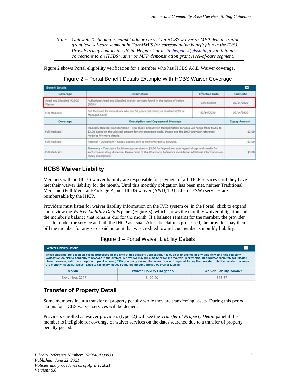*Note: Gainwell Technologies cannot add or correct an HCBS waiver or MFP demonstration grant level-of-care segment in CoreMMIS (or corresponding benefit plan in the EVS). Providers may contact the INsite Helpdesk a[t insite.helpdesk@fssa.in.gov](mailto:insite.helpdesk@fssa.in.gov) to initiate corrections to an HCBS waiver or MFP demonstration grant level-of-care segment.*

Figure 2 shows Portal eligibility verification for a member who has HCBS A&D Waiver coverage.

Figure 2 – Portal Benefit Details Example With HCBS Waiver Coverage

| <b>Benefit Details</b>            |                                                                                                                                                                                                                                             |                       | н                   |
|-----------------------------------|---------------------------------------------------------------------------------------------------------------------------------------------------------------------------------------------------------------------------------------------|-----------------------|---------------------|
| Coverage                          | <b>Description</b>                                                                                                                                                                                                                          | <b>Effective Date</b> | <b>End Date</b>     |
| Aged and Disabled HCBCS<br>Waiver | Authorized Aged and Disabled Waiver services found in the Notice of Action<br>(NOA)                                                                                                                                                         | 02/14/2020            | 02/14/2020          |
| Full Medicaid                     | Full Medicaid for individuals who are 65 years old, blind, or disabled (FFS or<br>Managed Care)                                                                                                                                             | 02/14/2020            | 02/14/2020          |
| Coverage                          | <b>Description and Copayment Message</b>                                                                                                                                                                                                    |                       | <b>Copay Amount</b> |
| Full Medicaid                     | Medically Related Transportation - The copay amount for transportation services will range from \$0.50 to<br>\$2.00 based on the allowed amount for the procedure code. Please see the IHCP provider reference<br>modules for more details. |                       | \$2.00              |
| Full Medicaid                     | Hospital - Outpatient - Copay applies only to non-emergency services.                                                                                                                                                                       |                       | \$3.00              |
| Full Medicaid                     | Pharmacy - The copay for Pharmacy services is \$3.00 for legend and non legend drugs and insulin for<br>each covered drug dispense. Please refer to the Pharmacy Reference module for additional information on<br>copay exemptions.        |                       | \$3.00              |

#### <span id="page-12-1"></span>**HCBS Waiver Liability**

Members with an HCBS waiver liability are responsible for payment of all IHCP services until they have met their waiver liability for the month. Until this monthly obligation has been met, neither Traditional Medicaid (Full Medicaid/Package A) nor HCBS waiver (A&D, TBI, CIH or FSW) services are reimbursable by the IHCP.

Providers must listen for waiver liability information on the IVR system or, in the Portal, click to expand and review the *Waiver Liability Details* panel (Figure 3), which shows the monthly waiver obligation and the member's balance that remains due for the month. If a balance remains for the member, the provider should render the service and bill the IHCP as usual. After the claim is processed, the provider may then bill the member for any zero-paid amount that was credited toward the member's monthly liability.

| Figure 3 - Portal Waiver Liability Details |  |  |  |  |
|--------------------------------------------|--|--|--|--|
|--------------------------------------------|--|--|--|--|

| <b>Waiver Liability Details</b>                                                                      |                                                                                                                                                                                                                                                                                                                                                                                                                                                                        | $\overline{\phantom{0}}$        |
|------------------------------------------------------------------------------------------------------|------------------------------------------------------------------------------------------------------------------------------------------------------------------------------------------------------------------------------------------------------------------------------------------------------------------------------------------------------------------------------------------------------------------------------------------------------------------------|---------------------------------|
| the monthly Medicaid Waiver Liability Summary Notice listing the amount applied ot Waiver Liability. | These amounts are based on claims processed at the time of this eligbility verification. It is subject to change at any time follwoing this eligibility<br>verification as claims continue to process in the system. A provider may bill a member for the Waiver Liability amount deducted from teh adjudicated<br>claim; however, with the exception of point of sale (POS) pharmacy claims, the membre is not required to pay the provider until the member receives |                                 |
| <b>Month</b>                                                                                         | <b>Waiver Liability Obligation</b>                                                                                                                                                                                                                                                                                                                                                                                                                                     | <b>Waiver Liability Balance</b> |
| November, 2017                                                                                       | \$100.00                                                                                                                                                                                                                                                                                                                                                                                                                                                               | \$76.37                         |

#### <span id="page-12-0"></span>**Transfer of Property Detail**

Some members incur a transfer of property penalty while they are transferring assets. During this period, claims for HCBS waiver services will be denied.

Providers enrolled as waiver providers (type 32) will see the *Transfer of Property Detail* panel if the member is ineligible for coverage of waiver services on the dates searched due to a transfer of property penalty period.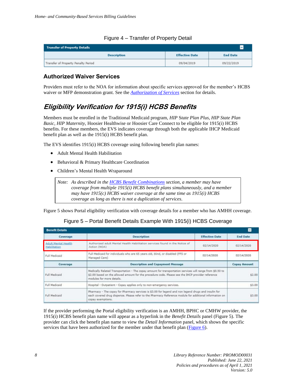| <b>Transfer of Property Details</b> |                       |                 |
|-------------------------------------|-----------------------|-----------------|
| <b>Description</b>                  | <b>Effective Date</b> | <b>End Date</b> |
| Transfer of Property Penalty Period | 09/04/2019            | 09/22/2019      |

#### Figure 4 – Transfer of Property Detail

#### **Authorized Waiver Services**

Providers must refer to the NOA for information about specific services approved for the member's HCBS waiver or MFP demonstration grant. See the *[Authorization of Services](#page-9-1)* section for details.

### <span id="page-13-0"></span>**Eligibility Verification for 1915(i) HCBS Benefits**

Members must be enrolled in the Traditional Medicaid program, *HIP* S*tate Plan Plus*, *HIP State Plan Basic*, *HIP Maternity*, Hoosier Healthwise or Hoosier Care Connect to be eligible for 1915(i) HCBS benefits. For these members, the EVS indicates coverage through both the applicable IHCP Medicaid benefit plan as well as the 1915(i) HCBS benefit plan.

The EVS identifies 1915(i) HCBS coverage using following benefit plan names:

- Adult Mental Health Habilitation
- Behavioral & Primary Healthcare Coordination
- Children's Mental Health Wraparound

*Note: As described in the [HCBS Benefit Combinations](#page-8-1) section, a member may have coverage from multiple 1915(i) HCBS benefit plans simultaneously, and a member may have 1915(c) HCBS waiver coverage at the same time as 1915(i) HCBS coverage as long as there is not a duplication of services.*

Figure 5 shows Portal eligibility verification with coverage details for a member who has AMHH coverage.

| <b>Benefit Details</b>                     |                                                                                                                                                                                                                                             |                       | Е                   |
|--------------------------------------------|---------------------------------------------------------------------------------------------------------------------------------------------------------------------------------------------------------------------------------------------|-----------------------|---------------------|
| Coverage                                   | <b>Description</b>                                                                                                                                                                                                                          | <b>Effective Date</b> | <b>End Date</b>     |
| <b>Adult Mental Health</b><br>Habilitation | Authorized adult Mental Health Habilitation services found in the Notice of<br>Action (NOA)                                                                                                                                                 | 02/14/2020            | 02/14/2020          |
| Full Medicaid                              | Full Medicaid for individuals who are 65 years old, blind, or disabled (FFS or<br>Managed Care)                                                                                                                                             | 02/14/2020            | 02/14/2020          |
| Coverage                                   | <b>Description and Copayment Message</b>                                                                                                                                                                                                    |                       | <b>Copay Amount</b> |
| Full Medicaid                              | Medically Related Transportation - The copay amount for transportation services will range from \$0.50 to<br>\$2.00 based on the allowed amount for the procedure code. Please see the IHCP provider reference<br>modules for more details. |                       | \$2.00              |
| Full Medicaid                              | Hospital - Outpatient - Copay applies only to non-emergency services.                                                                                                                                                                       |                       | \$3.00              |
| Full Medicaid                              | Pharmacy - The copay for Pharmacy services is \$3.00 for legend and non legend drugs and insulin for<br>each covered drug dispense. Please refer to the Pharmacy Reference module for additional information on<br>copay exemptions.        |                       | \$3.00              |

Figure 5 – Portal Benefit Details Example With 1915(i) HCBS Coverage

If the provider performing the Portal eligibility verification is an AMHH, BPHC or CMHW provider, the 1915(i) HCBS benefit plan name will appear as a hyperlink in the *Benefit Details* panel (Figure 5). The provider can click the benefit plan name to view the *Detail Information* panel, which shows the specific services that have been authorized for the member under that benefit plan  $(Figure 6)$ .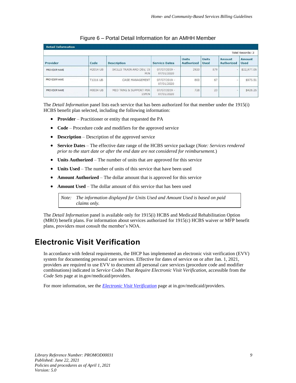<span id="page-14-1"></span>

|               | Total Records: 3 |                                 |                              |                                   |                             |                             |                       |
|---------------|------------------|---------------------------------|------------------------------|-----------------------------------|-----------------------------|-----------------------------|-----------------------|
| Provider      | Code             | <b>Description</b>              | <b>Service Dates</b>         | <b>Units</b><br><b>Authorized</b> | <b>Units</b><br><b>Used</b> | Amount<br><b>Authorized</b> | Amount<br><b>Used</b> |
| PROVIDER NAME | H2014 UB         | SKILLS TRAIN AND DEV, 15<br>MIN | $07/07/2019 -$<br>07/01/2020 | 2920                              | 879                         | $\overline{\phantom{a}}$    | \$22,977.06           |
| PROVIDER NAME | T1016 UB         | CASE MANAGEMENT                 | $07/07/2019 -$<br>07/01/2020 | 800                               | 67                          |                             | \$973.51              |
| PROVIDER NAME | H0034 UB         | MED TRNG & SUPPORT PER<br>15MIN | $07/07/2019 -$<br>07/01/2020 | 728                               | 23                          |                             | \$428.26              |

#### Figure 6 – Portal Detail Information for an AMHH Member

The *Detail Information* panel lists each service that has been authorized for that member under the 1915(i) HCBS benefit plan selected, including the following information:

- **Provider** Practitioner or entity that requested the PA
- **Code** Procedure code and modifiers for the approved service
- **Description** Description of the approved service
- **Service Dates** The effective date range of the HCBS service package (*Note: Services rendered prior to the start date or after the end date are not considered for reimbursement.*)
- **Units Authorized** The number of units that are approved for this service
- **Units Used** The number of units of this service that have been used
- **Amount Authorized** The dollar amount that is approved for this service
- **Amount Used** The dollar amount of this service that has been used

*Note: The information displayed for Units Used and Amount Used is based on paid claims only.*

The *Detail Information* panel is available only for 1915(i) HCBS and Medicaid Rehabilitation Option (MRO) benefit plans. For information about services authorized for 1915(c) HCBS waiver or MFP benefit plans, providers must consult the member's NOA.

## <span id="page-14-0"></span>**Electronic Visit Verification**

In accordance with federal requirements, the IHCP has implemented an electronic visit verification (EVV) system for documenting personal care services. Effective for dates of service on or after Jan. 1, 2021, providers are required to use EVV to document all personal care services (procedure code and modifier combinations) indicated in *Service Codes That Require Electronic Visit Verification*, accessible from the *Code Sets* page at in.gov/medicaid/providers.

For more information, see the *[Electronic Visit Verification](https://www.in.gov/medicaid/providers/1005.htm)* page at in.gov/medicaid/providers.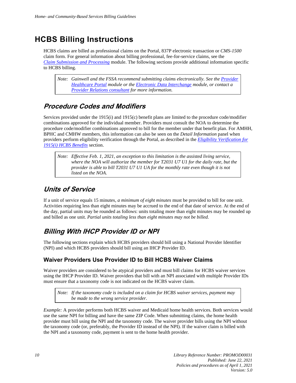## <span id="page-15-1"></span>**HCBS Billing Instructions**

HCBS claims are billed as professional claims on the Portal, 837P electronic transaction or *CMS-1500* claim form. For general information about billing professional, fee-for-service claims, see the *Claim [Submission and Processing](https://www.in.gov/medicaid/files/claim%20submission%20and%20processing.pdf)* module. The following sections provide additional information specific to HCBS billing.

*Note: Gainwell and the FSSA recommend submitting claims electronically. See the [Provider](https://www.in.gov/medicaid/files/provider%20healthcare%20portal.pdf)  [Healthcare Portal](https://www.in.gov/medicaid/files/provider%20healthcare%20portal.pdf) module or the [Electronic Data Interchange](https://www.in.gov/medicaid/files/electronic%20data%20interchange.pdf) module, or contact a Provider Relations [consultant](https://www.in.gov/medicaid/providers/490.htm) for more information.*

### <span id="page-15-0"></span>**Procedure Codes and Modifiers**

Services provided under the 1915(i) and 1915(c) benefit plans are limited to the procedure code/modifier combinations approved for the individual member. Providers must consult the NOA to determine the procedure code/modifier combinations approved to bill for the member under that benefit plan. For AMHH, BPHC and CMHW members, this information can also be seen on the *Detail Information* panel when providers perform eligibility verification through the Portal, as described in the *[Eligibility Verification for](#page-13-0)  [1915\(i\) HCBS Benefits](#page-13-0)* section.

*Note: Effective Feb. 1, 2021, an exception to this limitation is the assisted living service, where the NOA will authorize the member for T2031 U7 U1 for the daily rate, but the provider is able to bill T2031 U7 U1 UA for the monthly rate even though it is not listed on the NOA.* 

## <span id="page-15-2"></span>**Units of Service**

If a unit of service equals 15 minutes*, a minimum of eight minutes* must be provided to bill for one unit. Activities requiring less than eight minutes may be accrued to the end of that date of service. At the end of the day, partial units may be rounded as follows: units totaling more than eight minutes may be rounded up and billed as one unit. *Partial units totaling less than eight minutes may not be billed.*

## <span id="page-15-3"></span>**Billing With IHCP Provider ID or NPI**

The following sections explain which HCBS providers should bill using a National Provider Identifier (NPI) and which HCBS providers should bill using an IHCP Provider ID.

#### **Waiver Providers Use Provider ID to Bill HCBS Waiver Claims**

Waiver providers are considered to be atypical providers and must bill claims for HCBS waiver services using the IHCP Provider ID. Waiver providers that bill with an NPI associated with multiple Provider IDs must ensure that a taxonomy code is not indicated on the HCBS waiver claim.

*Note: If the taxonomy code is included on a claim for HCBS waiver services, payment may be made to the wrong service provider.*

*Example:* A provider performs both HCBS waiver and Medicaid home health services. Both services would use the same NPI for billing and have the same ZIP Code. When submitting claims, the home health provider must bill using the NPI and the taxonomy code. The waiver provider bills using the NPI without the taxonomy code (or, preferably, the Provider ID instead of the NPI). If the waiver claim is billed with the NPI and a taxonomy code, payment is sent to the home health provider.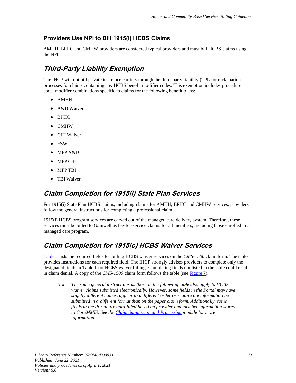#### **Providers Use NPI to Bill 1915(i) HCBS Claims**

AMHH, BPHC and CMHW providers are considered typical providers and must bill HCBS claims using the NPI.

## <span id="page-16-0"></span>**Third-Party Liability Exemption**

The IHCP will not bill private insurance carriers through the third-party liability (TPL) or reclamation processes for claims containing any HCBS benefit modifier codes. This exemption includes procedure code–modifier combinations specific to claims for the following benefit plans:

- AMHH
- A&D Waiver
- BPHC
- CMHW
- CIH Waiver
- FSW
- MFP A&D
- MFP CIH
- MFP TBI
- **TBI** Waiver

#### <span id="page-16-1"></span>**Claim Completion for 1915(i) State Plan Services**

For 1915(i) State Plan HCBS claims, including claims for AMHH, BPHC and CMHW services, providers follow the general instructions for completing a professional claim.

1915(i) HCBS program services are carved out of the managed care delivery system. Therefore, these services must be billed to Gainwell as fee-for-service claims for all members, including those enrolled in a managed care program.

#### <span id="page-16-2"></span>**Claim Completion for 1915(c) HCBS Waiver Services**

[Table 1](#page-17-0) lists the required fields for billing HCBS waiver services on the *CMS-1500* claim form. The table provides instructions for each required field. The IHCP strongly advises providers to complete only the designated fields in Table 1 for HCBS waiver billing. Completing fields not listed in the table could result in claim denial. A copy of the *CMS-1500* claim form follows the table (see [Figure 7\)](#page-19-0).

*Note: The same general instructions as those in the following table also apply to HCBS waiver claims submitted electronically. However, some fields in the Portal may have slightly different names, appear in a different order or require the information be submitted in a different format than on the paper claim form. Additionally, some fields in the Portal are auto-filled based on provider and member information stored in CoreMMIS. See the [Claim Submission and Processing](https://www.in.gov/medicaid/files/claim%20submission%20and%20processing.pdf) module for more information.*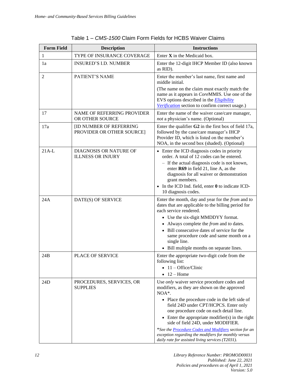<span id="page-17-0"></span>

| <b>Form Field</b> | <b>Description</b>                                         | <b>Instructions</b>                                                                                                                                                                                                                                                                                                                                                                                                                                                                                                         |
|-------------------|------------------------------------------------------------|-----------------------------------------------------------------------------------------------------------------------------------------------------------------------------------------------------------------------------------------------------------------------------------------------------------------------------------------------------------------------------------------------------------------------------------------------------------------------------------------------------------------------------|
| 1                 | TYPE OF INSURANCE COVERAGE                                 | Enter $X$ in the Medicaid box.                                                                                                                                                                                                                                                                                                                                                                                                                                                                                              |
| 1a                | <b>INSURED'S I.D. NUMBER</b>                               | Enter the 12-digit IHCP Member ID (also known<br>as RID).                                                                                                                                                                                                                                                                                                                                                                                                                                                                   |
| 2                 | PATIENT'S NAME                                             | Enter the member's last name, first name and<br>middle initial.<br>(The name on the claim must exactly match the<br>name as it appears in CoreMMIS. Use one of the<br>EVS options described in the Eligibility<br>Verification section to confirm correct usage.)                                                                                                                                                                                                                                                           |
| 17                | <b>NAME OF REFERRING PROVIDER</b><br>OR OTHER SOURCE       | Enter the name of the waiver case/care manager,<br>not a physician's name. (Optional)                                                                                                                                                                                                                                                                                                                                                                                                                                       |
| 17a               | <b>ID NUMBER OF REFERRING</b><br>PROVIDER OR OTHER SOURCE] | Enter the qualifier $G2$ in the first box of field 17a,<br>followed by the case/care manager's IHCP<br>Provider ID, which is listed on the member's<br>NOA, in the second box (shaded). (Optional)                                                                                                                                                                                                                                                                                                                          |
| $21A-L$           | <b>DIAGNOSIS OR NATURE OF</b><br><b>ILLNESS OR INJURY</b>  | • Enter the ICD diagnosis codes in priority<br>order. A total of 12 codes can be entered.<br>- If the actual diagnosis code is not known,<br>enter R69 in field 21, line A, as the<br>diagnosis for all waiver or demonstration<br>grant members.<br>• In the ICD Ind. field, enter 0 to indicate ICD-<br>10 diagnosis codes.                                                                                                                                                                                               |
| 24A               | DATE(S) OF SERVICE                                         | Enter the month, day and year for the from and to<br>dates that are applicable to the billing period for<br>each service rendered.<br>• Use the six-digit MMDDYY format.<br>• Always complete the <i>from</i> and to dates.<br>Bill consecutive dates of service for the<br>same procedure code and same month on a<br>single line.<br>• Bill multiple months on separate lines.                                                                                                                                            |
| 24B               | <b>PLACE OF SERVICE</b>                                    | Enter the appropriate two-digit code from the<br>following list:<br>$\bullet$ 11 - Office/Clinic<br>$\bullet$ 12 – Home                                                                                                                                                                                                                                                                                                                                                                                                     |
| 24D               | PROCEDURES, SERVICES, OR<br><b>SUPPLIES</b>                | Use only waiver service procedure codes and<br>modifiers, as they are shown on the approved<br>NOA*.<br>• Place the procedure code in the left side of<br>field 24D under CPT/HCPCS. Enter only<br>one procedure code on each detail line.<br>Enter the appropriate modifier(s) in the right<br>$\bullet$<br>side of field 24D, under MODIFIER.<br>*See the <b>Procedure Codes and Modifiers</b> section for an<br>exception regarding the modifiers for monthly versus<br>daily rate for assisted living services (T2031). |

| Table 1 – CMS-1500 Claim Form Fields for HCBS Waiver Claims |  |  |
|-------------------------------------------------------------|--|--|
|                                                             |  |  |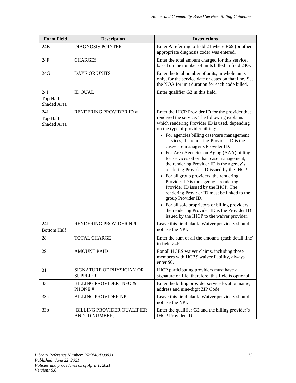| <b>Form Field</b>               | <b>Description</b>                                   | <b>Instructions</b>                                                                                                                                                                                                                                                                                                                                                                                                                                                                                                                                                                                                                                                                                                                                                                                                                                            |
|---------------------------------|------------------------------------------------------|----------------------------------------------------------------------------------------------------------------------------------------------------------------------------------------------------------------------------------------------------------------------------------------------------------------------------------------------------------------------------------------------------------------------------------------------------------------------------------------------------------------------------------------------------------------------------------------------------------------------------------------------------------------------------------------------------------------------------------------------------------------------------------------------------------------------------------------------------------------|
| 24E                             | <b>DIAGNOSIS POINTER</b>                             | Enter A referring to field 21 where R69 (or other<br>appropriate diagnosis code) was entered.                                                                                                                                                                                                                                                                                                                                                                                                                                                                                                                                                                                                                                                                                                                                                                  |
| 24F                             | <b>CHARGES</b>                                       | Enter the total amount charged for this service,<br>based on the number of units billed in field 24G.                                                                                                                                                                                                                                                                                                                                                                                                                                                                                                                                                                                                                                                                                                                                                          |
| 24G                             | DAYS OR UNITS                                        | Enter the total number of units, in whole units<br>only, for the service date or dates on that line. See<br>the NOA for unit duration for each code billed.                                                                                                                                                                                                                                                                                                                                                                                                                                                                                                                                                                                                                                                                                                    |
| 24I<br>Top Half-<br>Shaded Area | <b>ID QUAL</b>                                       | Enter qualifier G2 in this field.                                                                                                                                                                                                                                                                                                                                                                                                                                                                                                                                                                                                                                                                                                                                                                                                                              |
| 24J<br>Top Half-<br>Shaded Area | RENDERING PROVIDER ID #                              | Enter the IHCP Provider ID for the provider that<br>rendered the service. The following explains<br>which rendering Provider ID is used, depending<br>on the type of provider billing:<br>• For agencies billing case/care management<br>services, the rendering Provider ID is the<br>case/care manager's Provider ID.<br>• For Area Agencies on Aging (AAA) billing<br>for services other than case management,<br>the rendering Provider ID is the agency's<br>rendering Provider ID issued by the IHCP.<br>• For all group providers, the rendering<br>Provider ID is the agency's rendering<br>Provider ID issued by the IHCP. The<br>rendering Provider ID must be linked to the<br>group Provider ID.<br>• For all sole proprietors or billing providers,<br>the rendering Provider ID is the Provider ID<br>issued by the IHCP to the waiver provider. |
| 24J<br><b>Bottom Half</b>       | RENDERING PROVIDER NPI                               | Leave this field blank. Waiver providers should<br>not use the NPI.                                                                                                                                                                                                                                                                                                                                                                                                                                                                                                                                                                                                                                                                                                                                                                                            |
| 28                              | <b>TOTAL CHARGE</b>                                  | Enter the sum of all the amounts (each detail line)<br>in field 24F.                                                                                                                                                                                                                                                                                                                                                                                                                                                                                                                                                                                                                                                                                                                                                                                           |
| 29                              | <b>AMOUNT PAID</b>                                   | For all HCBS waiver claims, including those<br>members with HCBS waiver liability, always<br>enter \$0.                                                                                                                                                                                                                                                                                                                                                                                                                                                                                                                                                                                                                                                                                                                                                        |
| 31                              | SIGNATURE OF PHYSICIAN OR<br><b>SUPPLIER</b>         | IHCP participating providers must have a<br>signature on file; therefore, this field is optional.                                                                                                                                                                                                                                                                                                                                                                                                                                                                                                                                                                                                                                                                                                                                                              |
| 33                              | <b>BILLING PROVIDER INFO &amp;</b><br>PHONE#         | Enter the billing provider service location name,<br>address and nine-digit ZIP Code.                                                                                                                                                                                                                                                                                                                                                                                                                                                                                                                                                                                                                                                                                                                                                                          |
| 33a                             | <b>BILLING PROVIDER NPI</b>                          | Leave this field blank. Waiver providers should<br>not use the NPI.                                                                                                                                                                                                                                                                                                                                                                                                                                                                                                                                                                                                                                                                                                                                                                                            |
| 33 <sub>b</sub>                 | [BILLING PROVIDER QUALIFIER<br><b>AND ID NUMBER]</b> | Enter the qualifier G2 and the billing provider's<br><b>IHCP</b> Provider ID.                                                                                                                                                                                                                                                                                                                                                                                                                                                                                                                                                                                                                                                                                                                                                                                  |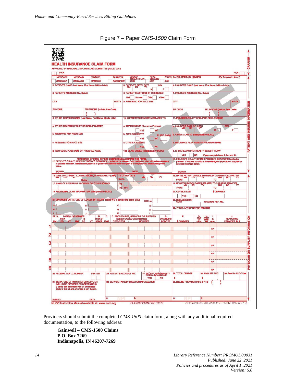<span id="page-19-0"></span>



Providers should submit the completed *CMS-1500* claim form, along with any additional required documentation, to the following address:

**Gainwell – CMS-1500 Claims P.O. Box 7269 Indianapolis, IN 46207-7269**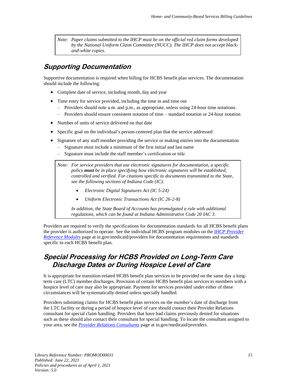*Note: Paper claims submitted to the IHCP must be on the official red claim forms developed by the National Uniform Claim Committee (NUCC). The IHCP does not accept blackand-white copies.*

#### <span id="page-20-0"></span>**Supporting Documentation**

Supportive documentation is required when billing for HCBS benefit plan services. The documentation should include the following:

- Complete date of service, including month, day and year
- Time entry for service provided, including the time in and time out
	- Providers should note a.m. and p.m., as appropriate, unless using 24-hour time notations.
	- Providers should ensure consistent notation of time standard notation or 24-hour notation
- Number of units of service delivered on that date
- Specific goal on the individual's person-centered plan that the service addressed
- Signature of any staff member providing the service or making entries into the documentation
	- Signature must include a minimum of the first initial and last name
	- Signature must include the staff member's certification or title

*Note: For service providers that use electronic signatures for documentation, a specific policy must be in place specifying how electronic signatures will be established, controlled and verified. For citations specific to documents transmitted to the State, see the following sections of Indiana Code (IC):*

- *Electronic Digital Signatures Act (IC 5-24)*
- *Uniform Electronic Transactions Act (IC 26-2-8)*

*In addition, the State Board of Accounts has promulgated a rule with additional regulations, which can be found at Indiana Administrative Code 20 IAC 3.*

Providers are required to verify the specifications for documentation standards for all HCBS benefit plans the provider is authorized to operate. See the individual HCBS program modules on the *[IHCP Provider](https://www.in.gov/medicaid/providers/810.htm)  [Reference Modules](https://www.in.gov/medicaid/providers/810.htm)* page at in.gov/medicaid/providers for documentation requirements and standards specific to each HCBS benefit plan.

#### <span id="page-20-1"></span>**Special Processing for HCBS Provided on Long-Term Care Discharge Dates or During Hospice Level of Care**

It is appropriate for transition-related HCBS benefit plan services to be provided on the same day a longterm care (LTC) member discharges. Provision of certain HCBS benefit plan services to members with a hospice level of care may also be appropriate. Payment for services provided under either of these circumstances will be systematically denied unless specially handled.

Providers submitting claims for HCBS benefit plan services on the member's date of discharge from the LTC facility or during a period of hospice level of care should contact their Provider Relations consultant for special claim handling. Providers that have had claims previously denied for situations such as these should also contact their consultant for special handling. To locate the consultant assigned to your area, see the *[Provider Relations Consultants](https://www.in.gov/medicaid/providers/490.htm)* page at in.gov/medicaid/providers.